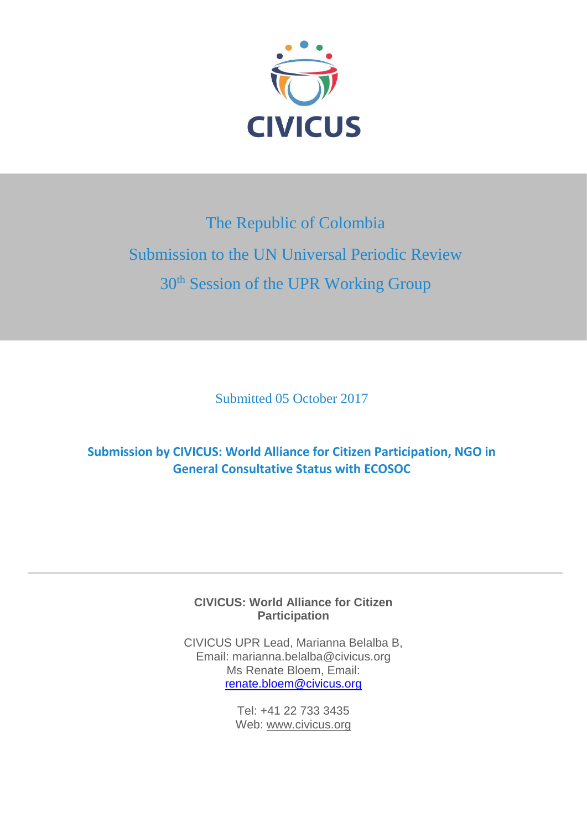

# The Republic of Colombia Submission to the UN Universal Periodic Review 30<sup>th</sup> Session of the UPR Working Group

Submitted 05 October 2017

**Submission by CIVICUS: World Alliance for Citizen Participation, NGO in General Consultative Status with ECOSOC** 

> **CIVICUS: World Alliance for Citizen Participation**

CIVICUS UPR Lead, Marianna Belalba B, Email: marianna.belalba@civicus.org Ms Renate Bloem, Email: [renate.bloem@civicus.org](mailto:renate.bloem@civicus.org)

> Tel: +41 22 733 3435 Web: [www.civicus.org](http://www.civicus.org/)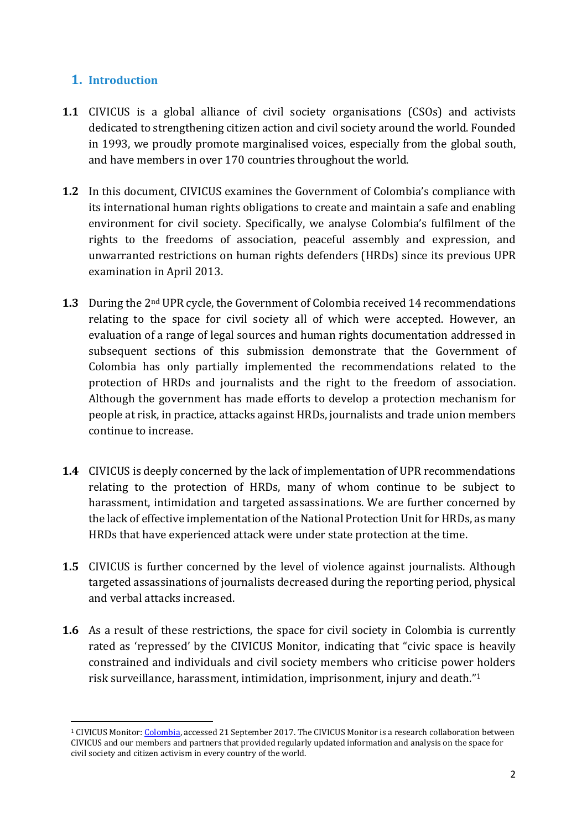# **1. Introduction**

1

- **1.1** CIVICUS is a global alliance of civil society organisations (CSOs) and activists dedicated to strengthening citizen action and civil society around the world. Founded in 1993, we proudly promote marginalised voices, especially from the global south, and have members in over 170 countries throughout the world.
- **1.2** In this document, CIVICUS examines the Government of Colombia's compliance with its international human rights obligations to create and maintain a safe and enabling environment for civil society. Specifically, we analyse Colombia's fulfilment of the rights to the freedoms of association, peaceful assembly and expression, and unwarranted restrictions on human rights defenders (HRDs) since its previous UPR examination in April 2013.
- **1.3** During the 2nd UPR cycle, the Government of Colombia received 14 recommendations relating to the space for civil society all of which were accepted. However, an evaluation of a range of legal sources and human rights documentation addressed in subsequent sections of this submission demonstrate that the Government of Colombia has only partially implemented the recommendations related to the protection of HRDs and journalists and the right to the freedom of association. Although the government has made efforts to develop a protection mechanism for people at risk, in practice, attacks against HRDs, journalists and trade union members continue to increase.
- **1.4** CIVICUS is deeply concerned by the lack of implementation of UPR recommendations relating to the protection of HRDs, many of whom continue to be subject to harassment, intimidation and targeted assassinations. We are further concerned by the lack of effective implementation of the National Protection Unit for HRDs, as many HRDs that have experienced attack were under state protection at the time.
- **1.5** CIVICUS is further concerned by the level of violence against journalists. Although targeted assassinations of journalists decreased during the reporting period, physical and verbal attacks increased.
- **1.6** As a result of these restrictions, the space for civil society in Colombia is currently rated as 'repressed' by the CIVICUS Monitor, indicating that "civic space is heavily constrained and individuals and civil society members who criticise power holders risk surveillance, harassment, intimidation, imprisonment, injury and death."<sup>1</sup>

<sup>1</sup> CIVICUS Monitor[: Colombia,](https://monitor.civicus.org/country/colombia) accessed 21 September 2017. The CIVICUS Monitor is a research collaboration between CIVICUS and our members and partners that provided regularly updated information and analysis on the space for civil society and citizen activism in every country of the world.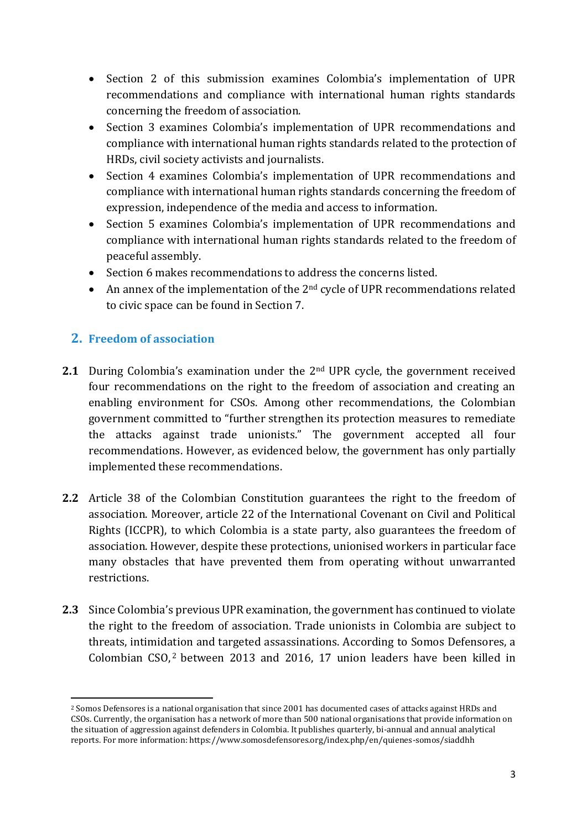- Section 2 of this submission examines Colombia's implementation of UPR recommendations and compliance with international human rights standards concerning the freedom of association.
- Section 3 examines Colombia's implementation of UPR recommendations and compliance with international human rights standards related to the protection of HRDs, civil society activists and journalists.
- Section 4 examines Colombia's implementation of UPR recommendations and compliance with international human rights standards concerning the freedom of expression, independence of the media and access to information.
- Section 5 examines Colombia's implementation of UPR recommendations and compliance with international human rights standards related to the freedom of peaceful assembly.
- Section 6 makes recommendations to address the concerns listed.
- $\bullet$  An annex of the implementation of the 2<sup>nd</sup> cycle of UPR recommendations related to civic space can be found in Section 7.

# **2. Freedom of association**

- **2.1** During Colombia's examination under the 2<sup>nd</sup> UPR cycle, the government received four recommendations on the right to the freedom of association and creating an enabling environment for CSOs. Among other recommendations, the Colombian government committed to "further strengthen its protection measures to remediate the attacks against trade unionists." The government accepted all four recommendations. However, as evidenced below, the government has only partially implemented these recommendations.
- **2.2** Article 38 of the Colombian Constitution guarantees the right to the freedom of association. Moreover, article 22 of the International Covenant on Civil and Political Rights (ICCPR), to which Colombia is a state party, also guarantees the freedom of association. However, despite these protections, unionised workers in particular face many obstacles that have prevented them from operating without unwarranted restrictions.
- **2.3** Since Colombia's previous UPR examination, the government has continued to violate the right to the freedom of association. Trade unionists in Colombia are subject to threats, intimidation and targeted assassinations. According to Somos Defensores, a Colombian CSO, <sup>2</sup> between 2013 and 2016, 17 union leaders have been killed in

<sup>1</sup> <sup>2</sup> Somos Defensores is a national organisation that since 2001 has documented cases of attacks against HRDs and CSOs. Currently, the organisation has a network of more than 500 national organisations that provide information on the situation of aggression against defenders in Colombia. It publishes quarterly, bi-annual and annual analytical reports. For more information: https://www.somosdefensores.org/index.php/en/quienes-somos/siaddhh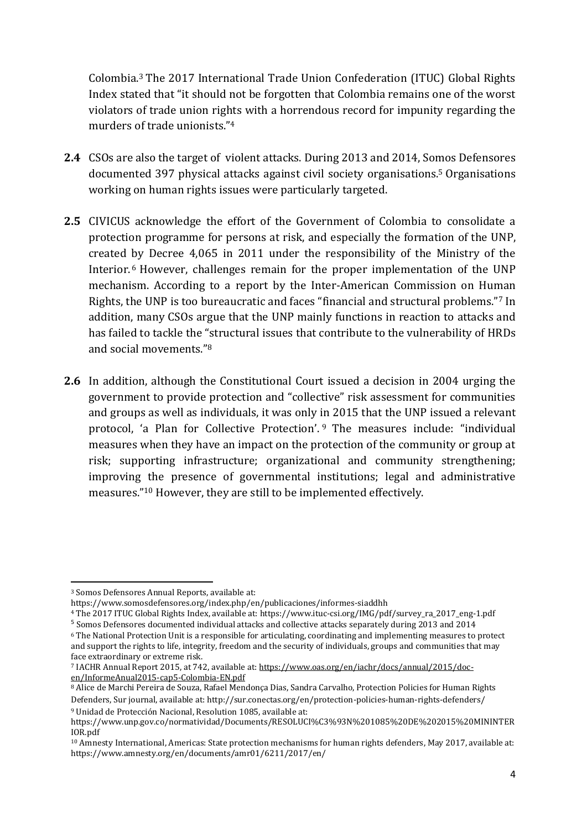Colombia.<sup>3</sup> The 2017 International Trade Union Confederation (ITUC) Global Rights Index stated that "it should not be forgotten that Colombia remains one of the worst violators of trade union rights with a horrendous record for impunity regarding the murders of trade unionists."<sup>4</sup>

- **2.4** CSOs are also the target of violent attacks. During 2013 and 2014, Somos Defensores documented 397 physical attacks against civil society organisations. <sup>5</sup> Organisations working on human rights issues were particularly targeted.
- **2.5** CIVICUS acknowledge the effort of the Government of Colombia to consolidate a protection programme for persons at risk, and especially the formation of the UNP, created by Decree 4,065 in 2011 under the responsibility of the Ministry of the Interior.<sup>6</sup> However, challenges remain for the proper implementation of the UNP mechanism. According to a report by the Inter-American Commission on Human Rights, the UNP is too bureaucratic and faces "financial and structural problems."<sup>7</sup> In addition, many CSOs argue that the UNP mainly functions in reaction to attacks and has failed to tackle the "structural issues that contribute to the vulnerability of HRDs and social movements."<sup>8</sup>
- **2.6** In addition, although the Constitutional Court issued a decision in 2004 urging the government to provide protection and "collective" risk assessment for communities and groups as well as individuals, it was only in 2015 that the UNP issued a relevant protocol, 'a Plan for Collective Protection'. <sup>9</sup> The measures include: "individual measures when they have an impact on the protection of the community or group at risk; supporting infrastructure; organizational and community strengthening; improving the presence of governmental institutions; legal and administrative measures."<sup>10</sup> However, they are still to be implemented effectively.

1

<sup>3</sup> Somos Defensores Annual Reports, available at:

https://www.somosdefensores.org/index.php/en/publicaciones/informes-siaddhh

<sup>4</sup> The 2017 ITUC Global Rights Index, available at: https://www.ituc-csi.org/IMG/pdf/survey\_ra\_2017\_eng-1.pdf

<sup>&</sup>lt;sup>5</sup> Somos Defensores documented individual attacks and collective attacks separately during 2013 and 2014

<sup>6</sup> The National Protection Unit is a responsible for articulating, coordinating and implementing measures to protect and support the rights to life, integrity, freedom and the security of individuals, groups and communities that may face extraordinary or extreme risk.

<sup>7</sup> IACHR Annual Report 2015, at 742, available at: [https://www.oas.org/en/iachr/docs/annual/2015/doc](https://www.oas.org/en/iachr/docs/annual/2015/doc-en/InformeAnual2015-cap5-Colombia-EN.pdf)[en/InformeAnual2015-cap5-Colombia-EN.pdf](https://www.oas.org/en/iachr/docs/annual/2015/doc-en/InformeAnual2015-cap5-Colombia-EN.pdf)

<sup>8</sup> Alice de Marchi Pereira de Souza, Rafael Mendonça Dias, Sandra Carvalho, Protection Policies for Human Rights Defenders, Sur journal, available at: http://sur.conectas.org/en/protection-policies-human-rights-defenders/ <sup>9</sup> Unidad de Protección Nacional, Resolution 1085, available at:

https://www.unp.gov.co/normatividad/Documents/RESOLUCI%C3%93N%201085%20DE%202015%20MININTER IOR.pdf

<sup>10</sup> Amnesty International, Americas: State protection mechanisms for human rights defenders, May 2017, available at: https://www.amnesty.org/en/documents/amr01/6211/2017/en/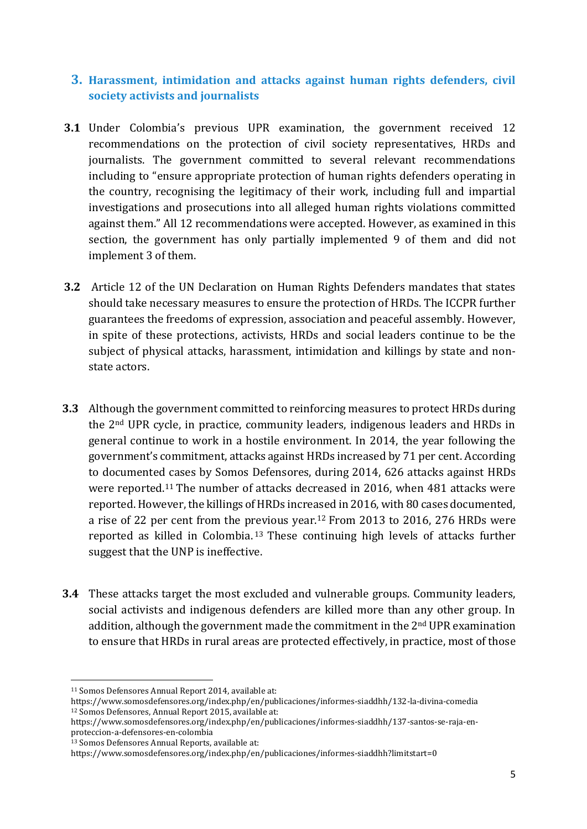## **3. Harassment, intimidation and attacks against human rights defenders, civil society activists and journalists**

- **3.1** Under Colombia's previous UPR examination, the government received 12 recommendations on the protection of civil society representatives, HRDs and journalists. The government committed to several relevant recommendations including to "ensure appropriate protection of human rights defenders operating in the country, recognising the legitimacy of their work, including full and impartial investigations and prosecutions into all alleged human rights violations committed against them." All 12 recommendations were accepted. However, as examined in this section, the government has only partially implemented 9 of them and did not implement 3 of them.
- **3.2** Article 12 of the UN Declaration on Human Rights Defenders mandates that states should take necessary measures to ensure the protection of HRDs. The ICCPR further guarantees the freedoms of expression, association and peaceful assembly. However, in spite of these protections, activists, HRDs and social leaders continue to be the subject of physical attacks, harassment, intimidation and killings by state and nonstate actors.
- **3.3** Although the government committed to reinforcing measures to protect HRDs during the 2nd UPR cycle, in practice, community leaders, indigenous leaders and HRDs in general continue to work in a hostile environment. In 2014, the year following the government's commitment, attacks against HRDs increased by 71 per cent. According to documented cases by Somos Defensores, during 2014, 626 attacks against HRDs were reported.<sup>11</sup> The number of attacks decreased in 2016, when 481 attacks were reported. However, the killings of HRDs increased in 2016, with 80 cases documented, a rise of 22 per cent from the previous year.<sup>12</sup> From 2013 to 2016, 276 HRDs were reported as killed in Colombia. <sup>13</sup> These continuing high levels of attacks further suggest that the UNP is ineffective.
- **3.4** These attacks target the most excluded and vulnerable groups. Community leaders, social activists and indigenous defenders are killed more than any other group. In addition, although the government made the commitment in the 2nd UPR examination to ensure that HRDs in rural areas are protected effectively, in practice, most of those

 $\overline{a}$ 

<sup>13</sup> Somos Defensores Annual Reports, available at:

<sup>11</sup> Somos Defensores Annual Report 2014, available at:

https://www.somosdefensores.org/index.php/en/publicaciones/informes-siaddhh/132-la-divina-comedia <sup>12</sup> Somos Defensores, Annual Report 2015, available at:

https://www.somosdefensores.org/index.php/en/publicaciones/informes-siaddhh/137-santos-se-raja-enproteccion-a-defensores-en-colombia

https://www.somosdefensores.org/index.php/en/publicaciones/informes-siaddhh?limitstart=0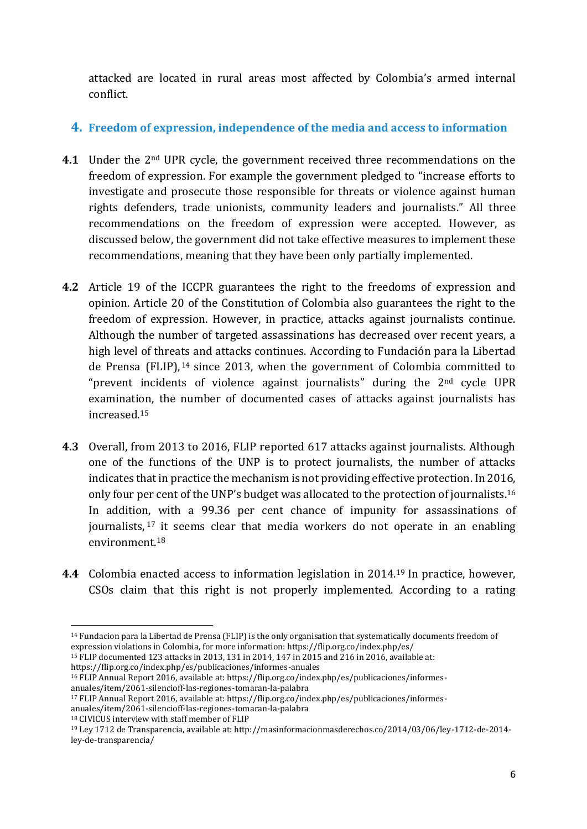attacked are located in rural areas most affected by Colombia's armed internal conflict.

## **4. Freedom of expression, independence of the media and access to information**

- **4.1** Under the 2nd UPR cycle, the government received three recommendations on the freedom of expression. For example the government pledged to "increase efforts to investigate and prosecute those responsible for threats or violence against human rights defenders, trade unionists, community leaders and journalists." All three recommendations on the freedom of expression were accepted. However, as discussed below, the government did not take effective measures to implement these recommendations, meaning that they have been only partially implemented.
- **4.2** Article 19 of the ICCPR guarantees the right to the freedoms of expression and opinion. Article 20 of the Constitution of Colombia also guarantees the right to the freedom of expression. However, in practice, attacks against journalists continue. Although the number of targeted assassinations has decreased over recent years, a high level of threats and attacks continues. According to Fundación para la Libertad de Prensa (FLIP), <sup>14</sup> since 2013, when the government of Colombia committed to "prevent incidents of violence against journalists" during the  $2<sup>nd</sup>$  cycle UPR examination, the number of documented cases of attacks against journalists has increased.<sup>15</sup>
- **4.3** Overall, from 2013 to 2016, FLIP reported 617 attacks against journalists. Although one of the functions of the UNP is to protect journalists, the number of attacks indicates that in practice the mechanism is not providing effective protection. In 2016, only four per cent of the UNP's budget was allocated to the protection of journalists.<sup>16</sup> In addition, with a 99.36 per cent chance of impunity for assassinations of journalists, <sup>17</sup> it seems clear that media workers do not operate in an enabling environment.<sup>18</sup>
- **4.4** Colombia enacted access to information legislation in 2014.<sup>19</sup> In practice, however, CSOs claim that this right is not properly implemented. According to a rating

<sup>16</sup> FLIP Annual Report 2016, available at: https://flip.org.co/index.php/es/publicaciones/informesanuales/item/2061-silencioff-las-regiones-tomaran-la-palabra

<sup>1</sup> <sup>14</sup> Fundacion para la Libertad de Prensa (FLIP) is the only organisation that systematically documents freedom of expression violations in Colombia, for more information: https://flip.org.co/index.php/es/

<sup>15</sup> FLIP documented 123 attacks in 2013, 131 in 2014, 147 in 2015 and 216 in 2016, available at: https://flip.org.co/index.php/es/publicaciones/informes-anuales

<sup>17</sup> FLIP Annual Report 2016, available at: https://flip.org.co/index.php/es/publicaciones/informes-

anuales/item/2061-silencioff-las-regiones-tomaran-la-palabra

<sup>18</sup> CIVICUS interview with staff member of FLIP

<sup>19</sup> Ley 1712 de Transparencia, available at: http://masinformacionmasderechos.co/2014/03/06/ley-1712-de-2014 ley-de-transparencia/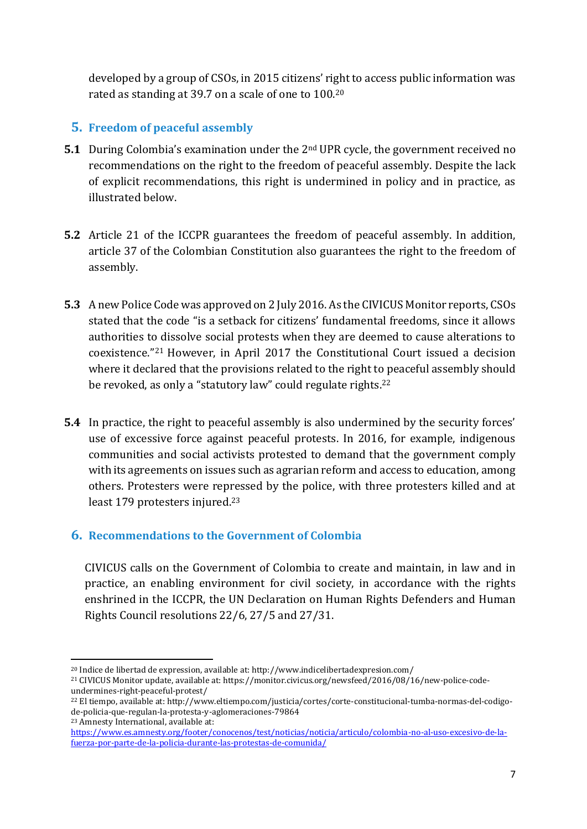developed by a group of CSOs, in 2015 citizens' right to access public information was rated as standing at 39.7 on a scale of one to 100.<sup>20</sup>

# **5. Freedom of peaceful assembly**

- **5.1** During Colombia's examination under the 2<sup>nd</sup> UPR cycle, the government received no recommendations on the right to the freedom of peaceful assembly. Despite the lack of explicit recommendations, this right is undermined in policy and in practice, as illustrated below.
- **5.2** Article 21 of the ICCPR guarantees the freedom of peaceful assembly. In addition, article 37 of the Colombian Constitution also guarantees the right to the freedom of assembly.
- **5.3** A new Police Code was approved on 2 July 2016. As the CIVICUS Monitor reports, CSOs stated that the code "is a setback for citizens' fundamental freedoms, since it allows authorities to dissolve social protests when they are deemed to cause alterations to coexistence."<sup>21</sup> However, in April 2017 the Constitutional Court issued a decision where it declared that the provisions related to the right to peaceful assembly should be revoked, as only a "statutory law" could regulate rights.<sup>22</sup>
- **5.4** In practice, the right to peaceful assembly is also undermined by the security forces' use of excessive force against peaceful protests. In 2016, for example, indigenous communities and social activists protested to demand that the government comply with its agreements on issues such as agrarian reform and access to education, among others. Protesters were repressed by the police, with three protesters killed and at least 179 protesters injured.<sup>23</sup>

## **6. Recommendations to the Government of Colombia**

CIVICUS calls on the Government of Colombia to create and maintain, in law and in practice, an enabling environment for civil society, in accordance with the rights enshrined in the ICCPR, the UN Declaration on Human Rights Defenders and Human Rights Council resolutions 22/6, 27/5 and 27/31.

<sup>23</sup> Amnesty International, available at:

1

<sup>20</sup> Indice de libertad de expression, available at: http://www.indicelibertadexpresion.com/

<sup>21</sup> CIVICUS Monitor update, available at: https://monitor.civicus.org/newsfeed/2016/08/16/new-police-codeundermines-right-peaceful-protest/

<sup>22</sup> El tiempo, available at: http://www.eltiempo.com/justicia/cortes/corte-constitucional-tumba-normas-del-codigode-policia-que-regulan-la-protesta-y-aglomeraciones-79864

[https://www.es.amnesty.org/footer/conocenos/test/noticias/noticia/articulo/colombia-no-al-uso-excesivo-de-la](https://www.es.amnesty.org/footer/conocenos/test/noticias/noticia/articulo/colombia-no-al-uso-excesivo-de-la-fuerza-por-parte-de-la-policia-durante-las-protestas-de-comunida/)[fuerza-por-parte-de-la-policia-durante-las-protestas-de-comunida/](https://www.es.amnesty.org/footer/conocenos/test/noticias/noticia/articulo/colombia-no-al-uso-excesivo-de-la-fuerza-por-parte-de-la-policia-durante-las-protestas-de-comunida/)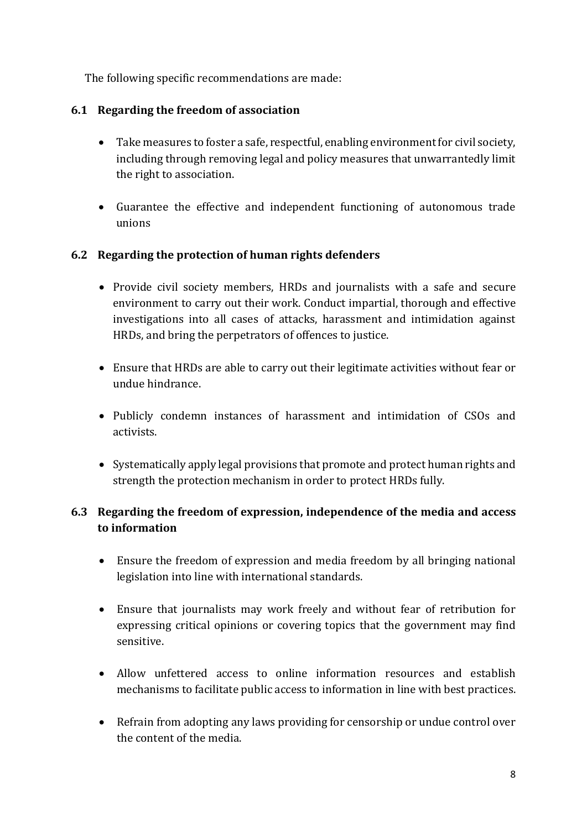The following specific recommendations are made:

#### **6.1 Regarding the freedom of association**

- Take measures to foster a safe, respectful, enabling environment for civil society, including through removing legal and policy measures that unwarrantedly limit the right to association.
- Guarantee the effective and independent functioning of autonomous trade unions

#### **6.2 Regarding the protection of human rights defenders**

- Provide civil society members, HRDs and journalists with a safe and secure environment to carry out their work. Conduct impartial, thorough and effective investigations into all cases of attacks, harassment and intimidation against HRDs, and bring the perpetrators of offences to justice.
- Ensure that HRDs are able to carry out their legitimate activities without fear or undue hindrance.
- Publicly condemn instances of harassment and intimidation of CSOs and activists.
- Systematically apply legal provisions that promote and protect human rights and strength the protection mechanism in order to protect HRDs fully.

## **6.3 Regarding the freedom of expression, independence of the media and access to information**

- Ensure the freedom of expression and media freedom by all bringing national legislation into line with international standards.
- Ensure that journalists may work freely and without fear of retribution for expressing critical opinions or covering topics that the government may find sensitive.
- Allow unfettered access to online information resources and establish mechanisms to facilitate public access to information in line with best practices.
- Refrain from adopting any laws providing for censorship or undue control over the content of the media.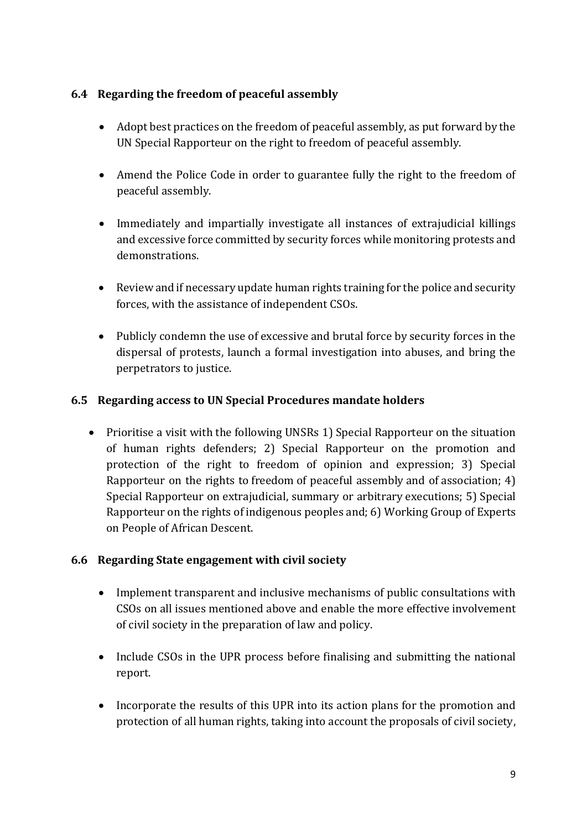## **6.4 Regarding the freedom of peaceful assembly**

- Adopt best practices on the freedom of peaceful assembly, as put forward by the UN Special Rapporteur on the right to freedom of peaceful assembly.
- Amend the Police Code in order to guarantee fully the right to the freedom of peaceful assembly.
- Immediately and impartially investigate all instances of extrajudicial killings and excessive force committed by security forces while monitoring protests and demonstrations.
- Review and if necessary update human rights training for the police and security forces, with the assistance of independent CSOs.
- Publicly condemn the use of excessive and brutal force by security forces in the dispersal of protests, launch a formal investigation into abuses, and bring the perpetrators to justice.

## **6.5 Regarding access to UN Special Procedures mandate holders**

• Prioritise a visit with the following UNSRs 1) Special Rapporteur on the situation of human rights defenders; 2) Special Rapporteur on the promotion and protection of the right to freedom of opinion and expression; 3) Special Rapporteur on the rights to freedom of peaceful assembly and of association; 4) Special Rapporteur on extrajudicial, summary or arbitrary executions; 5) Special Rapporteur on the rights of indigenous peoples and; 6) Working Group of Experts on People of African Descent.

#### **6.6 Regarding State engagement with civil society**

- Implement transparent and inclusive mechanisms of public consultations with CSOs on all issues mentioned above and enable the more effective involvement of civil society in the preparation of law and policy.
- Include CSOs in the UPR process before finalising and submitting the national report.
- Incorporate the results of this UPR into its action plans for the promotion and protection of all human rights, taking into account the proposals of civil society,